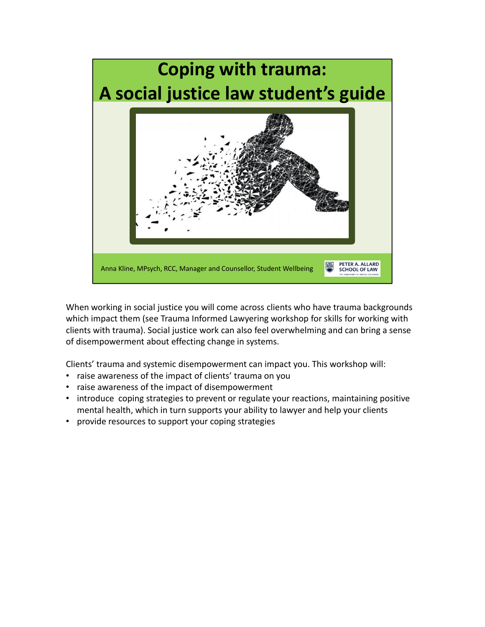

When working in social justice you will come across clients who have trauma backgrounds which impact them (see Trauma Informed Lawyering workshop for skills for working with clients with trauma). Social justice work can also feel overwhelming and can bring a sense of disempowerment about effecting change in systems.

Clients' trauma and systemic disempowerment can impact you. This workshop will:

- raise awareness of the impact of clients' trauma on you
- raise awareness of the impact of disempowerment
- introduce coping strategies to prevent or regulate your reactions, maintaining positive mental health, which in turn supports your ability to lawyer and help your clients
- provide resources to support your coping strategies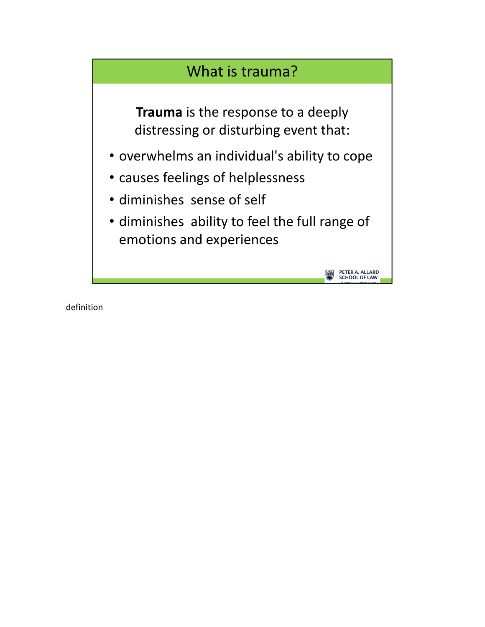## What is trauma?

**Trauma** is the response to a deeply distressing or disturbing event that:

- overwhelms an individual's ability to cope
- causes feelings of helplessness
- diminishes sense of self
- diminishes ability to feel the full range of emotions and experiences

PETER A. ALLARD<br>SCHOOL OF LAW

definition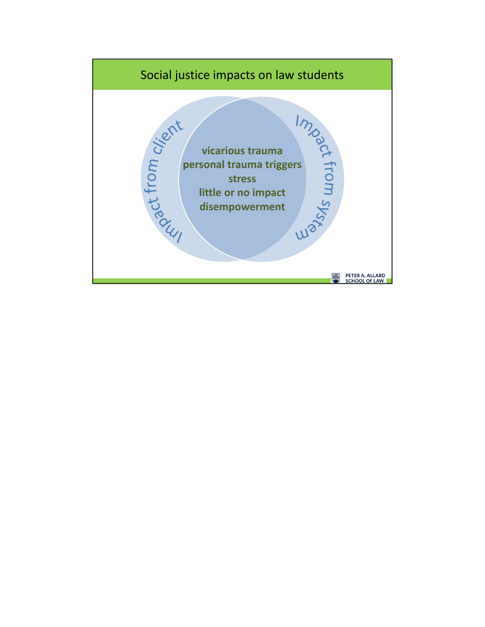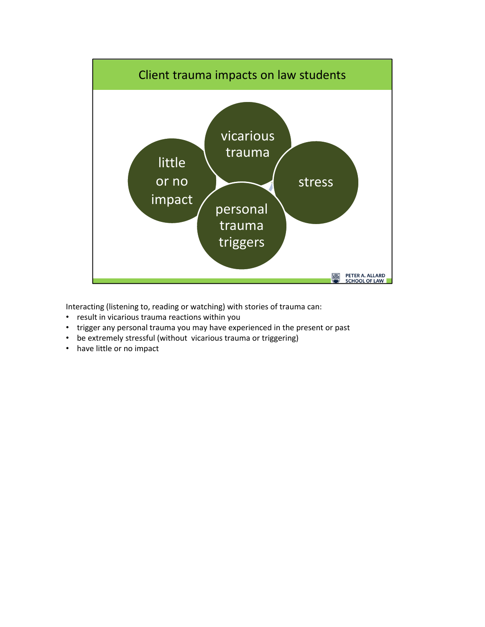

Interacting (listening to, reading or watching) with stories of trauma can:

- result in vicarious trauma reactions within you
- trigger any personal trauma you may have experienced in the present or past
- be extremely stressful (without vicarious trauma or triggering)
- have little or no impact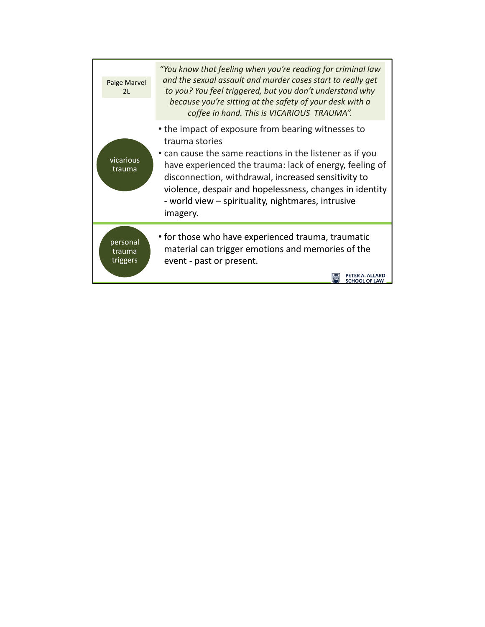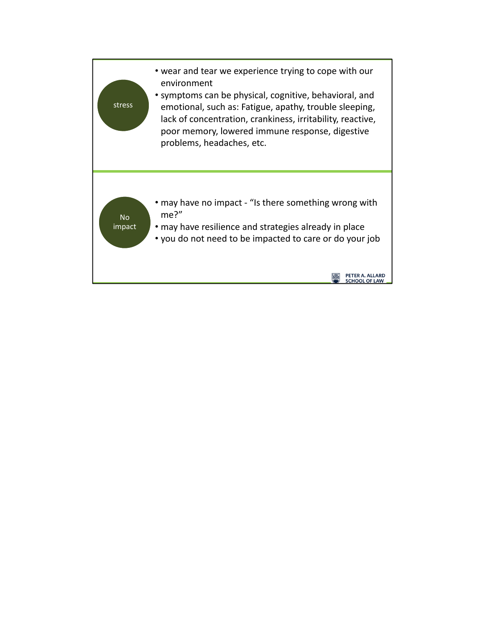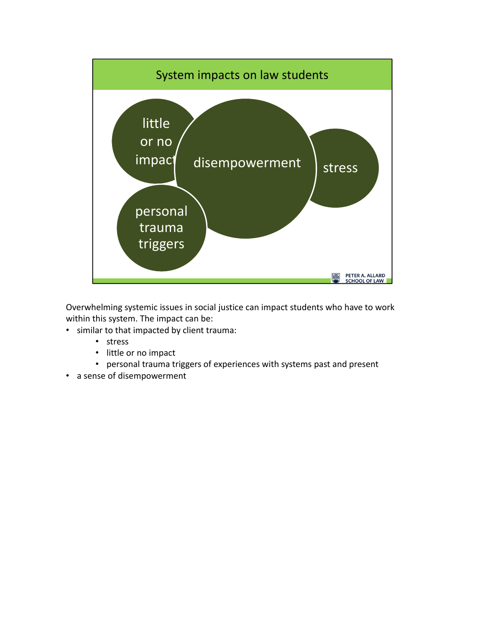

Overwhelming systemic issues in social justice can impact students who have to work within this system. The impact can be:

- similar to that impacted by client trauma:
	- stress
	- little or no impact
	- personal trauma triggers of experiences with systems past and present
- a sense of disempowerment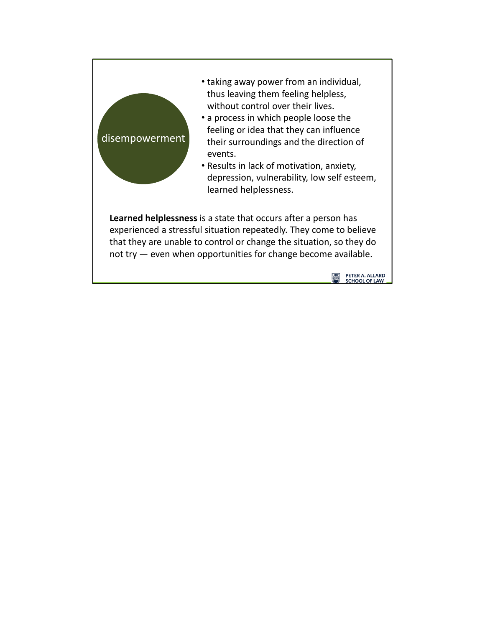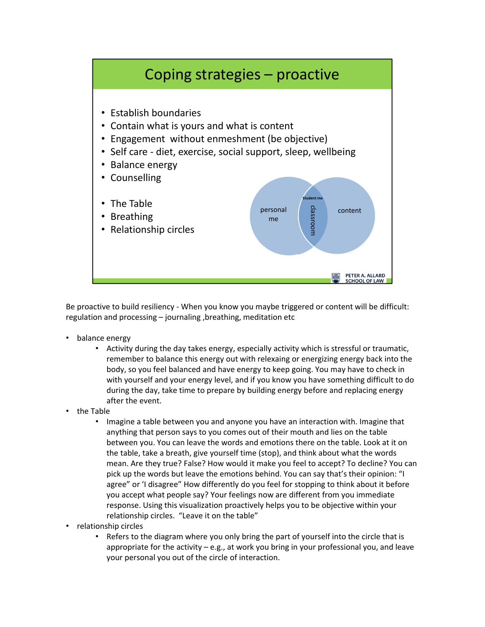

Be proactive to build resiliency - When you know you maybe triggered or content will be difficult: regulation and processing – journaling ,breathing, meditation etc

- balance energy
	- Activity during the day takes energy, especially activity which is stressful or traumatic, remember to balance this energy out with relexaing or energizing energy back into the body, so you feel balanced and have energy to keep going. You may have to check in with yourself and your energy level, and if you know you have something difficult to do during the day, take time to prepare by building energy before and replacing energy after the event.
- the Table
	- Imagine a table between you and anyone you have an interaction with. Imagine that anything that person says to you comes out of their mouth and lies on the table between you. You can leave the words and emotions there on the table. Look at it on the table, take a breath, give yourself time (stop), and think about what the words mean. Are they true? False? How would it make you feel to accept? To decline? You can pick up the words but leave the emotions behind. You can say that's their opinion: "I agree" or 'I disagree" How differently do you feel for stopping to think about it before you accept what people say? Your feelings now are different from you immediate response. Using this visualization proactively helps you to be objective within your relationship circles. "Leave it on the table"
- relationship circles
	- Refers to the diagram where you only bring the part of yourself into the circle that is appropriate for the activity – e.g., at work you bring in your professional you, and leave your personal you out of the circle of interaction.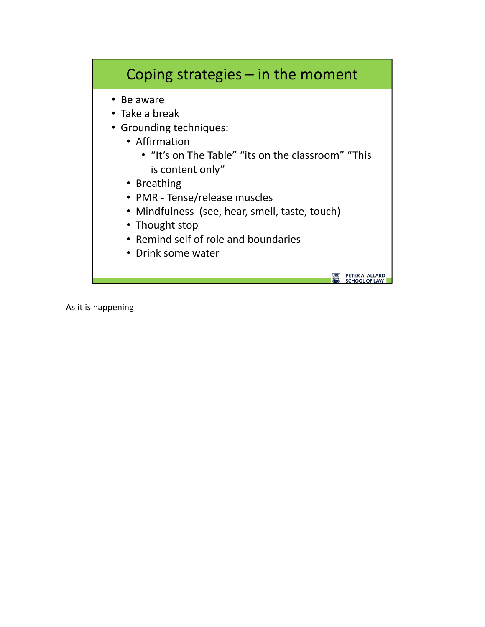## Coping strategies – in the moment

- Be aware
- Take a break
- Grounding techniques:
	- Affirmation
		- "It's on The Table" "its on the classroom" "This is content only"

**PETER A. ALLARD<br>SCHOOL OF LAW** 

- Breathing
- PMR ‐ Tense/release muscles
- Mindfulness (see, hear, smell, taste, touch)
- Thought stop
- Remind self of role and boundaries
- Drink some water

As it is happening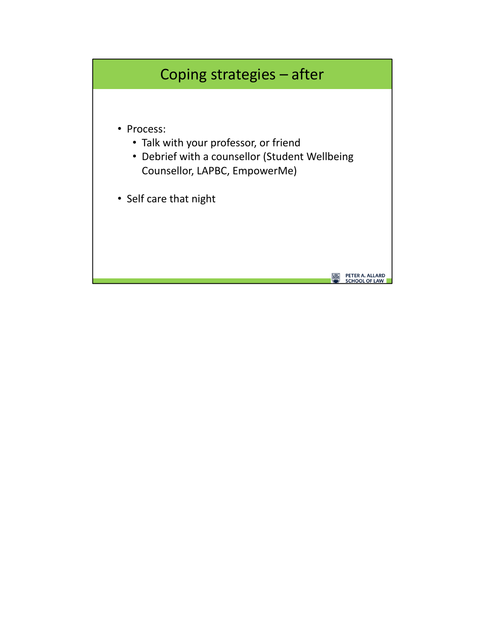## Coping strategies – after

- Process:
	- Talk with your professor, or friend
	- Debrief with a counsellor (Student Wellbeing Counsellor, LAPBC, EmpowerMe)

**PETER A. ALLARD<br>SCHOOL OF LAW** 

• Self care that night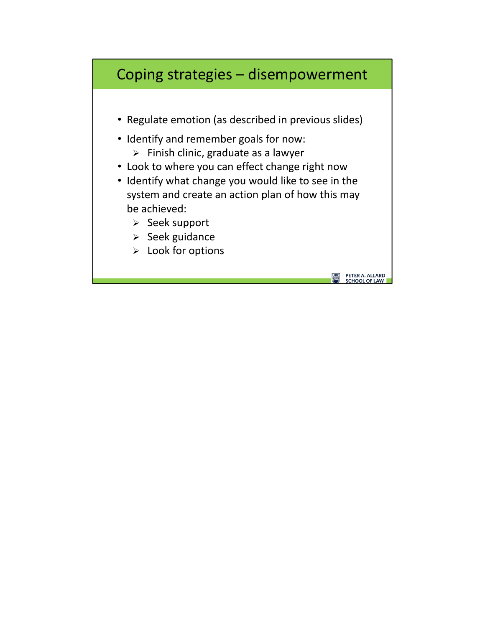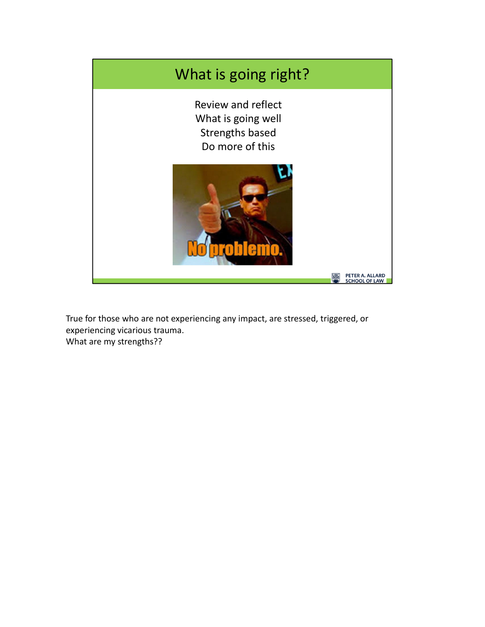

True for those who are not experiencing any impact, are stressed, triggered, or experiencing vicarious trauma. What are my strengths??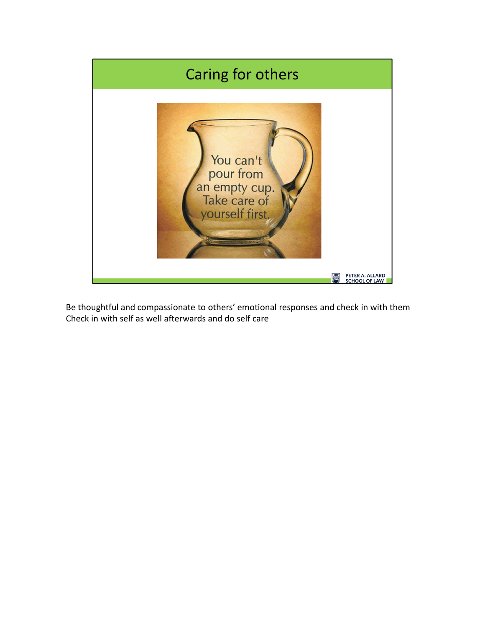

Be thoughtful and compassionate to others' emotional responses and check in with them Check in with self as well afterwards and do self care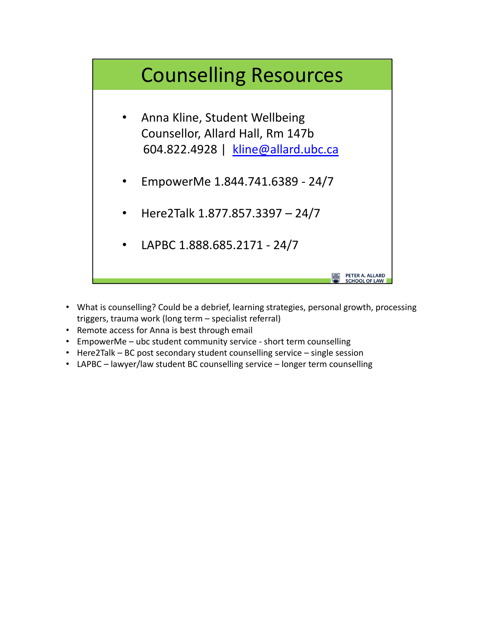## Counselling Resources

- Anna Kline, Student Wellbeing Counsellor, Allard Hall, Rm 147b 604.822.4928 | kline@allard.ubc.ca
- EmpowerMe 1.844.741.6389 ‐ 24/7
- Here2Talk 1.877.857.3397 24/7
- LAPBC 1.888.685.2171 ‐ 24/7
- What is counselling? Could be a debrief, learning strategies, personal growth, processing triggers, trauma work (long term – specialist referral)

PETER A. ALLARD<br>SCHOOL OF LAW

- Remote access for Anna is best through email
- EmpowerMe ubc student community service short term counselling
- Here2Talk BC post secondary student counselling service single session
- LAPBC lawyer/law student BC counselling service longer term counselling